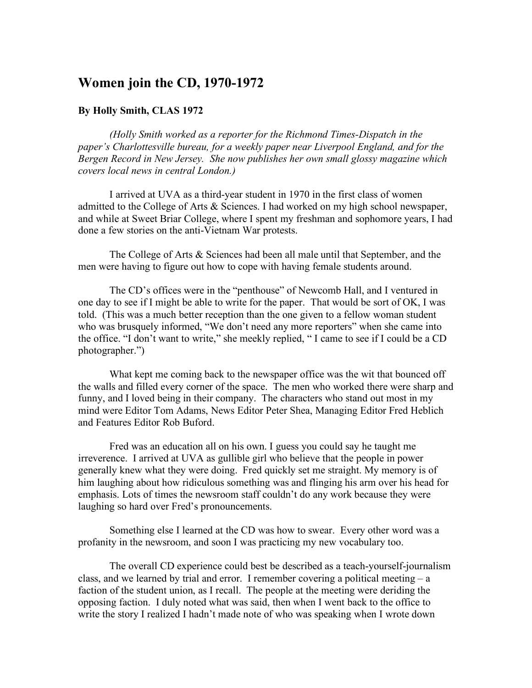## **Women join the CD, 1970-1972**

## **By Holly Smith, CLAS 1972**

*(Holly Smith worked as a reporter for the Richmond Times-Dispatch in the paper's Charlottesville bureau, for a weekly paper near Liverpool England, and for the Bergen Record in New Jersey. She now publishes her own small glossy magazine which covers local news in central London.)*

I arrived at UVA as a third-year student in 1970 in the first class of women admitted to the College of Arts & Sciences. I had worked on my high school newspaper, and while at Sweet Briar College, where I spent my freshman and sophomore years, I had done a few stories on the anti-Vietnam War protests.

The College of Arts & Sciences had been all male until that September, and the men were having to figure out how to cope with having female students around.

The CD's offices were in the "penthouse" of Newcomb Hall, and I ventured in one day to see if I might be able to write for the paper. That would be sort of OK, I was told. (This was a much better reception than the one given to a fellow woman student who was brusquely informed, "We don't need any more reporters" when she came into the office. "I don't want to write," she meekly replied, " I came to see if I could be a CD photographer.")

What kept me coming back to the newspaper office was the wit that bounced off the walls and filled every corner of the space. The men who worked there were sharp and funny, and I loved being in their company. The characters who stand out most in my mind were Editor Tom Adams, News Editor Peter Shea, Managing Editor Fred Heblich and Features Editor Rob Buford.

Fred was an education all on his own. I guess you could say he taught me irreverence. I arrived at UVA as gullible girl who believe that the people in power generally knew what they were doing. Fred quickly set me straight. My memory is of him laughing about how ridiculous something was and flinging his arm over his head for emphasis. Lots of times the newsroom staff couldn't do any work because they were laughing so hard over Fred's pronouncements.

Something else I learned at the CD was how to swear. Every other word was a profanity in the newsroom, and soon I was practicing my new vocabulary too.

The overall CD experience could best be described as a teach-yourself-journalism class, and we learned by trial and error. I remember covering a political meeting  $- a$ faction of the student union, as I recall. The people at the meeting were deriding the opposing faction. I duly noted what was said, then when I went back to the office to write the story I realized I hadn't made note of who was speaking when I wrote down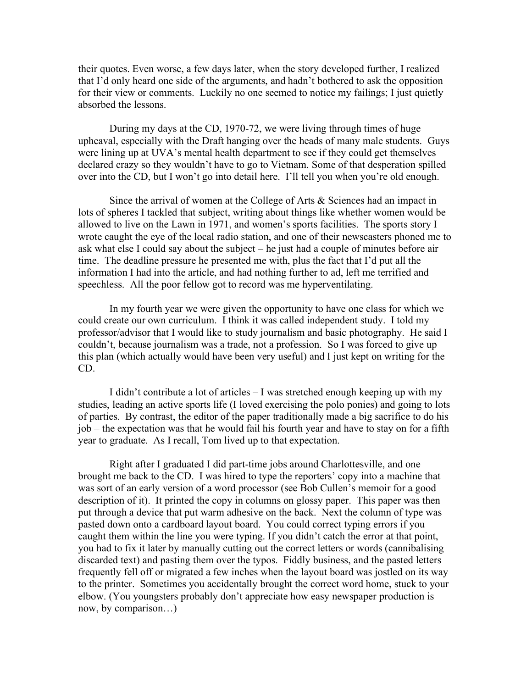their quotes. Even worse, a few days later, when the story developed further, I realized that I'd only heard one side of the arguments, and hadn't bothered to ask the opposition for their view or comments. Luckily no one seemed to notice my failings; I just quietly absorbed the lessons.

During my days at the CD, 1970-72, we were living through times of huge upheaval, especially with the Draft hanging over the heads of many male students. Guys were lining up at UVA's mental health department to see if they could get themselves declared crazy so they wouldn't have to go to Vietnam. Some of that desperation spilled over into the CD, but I won't go into detail here. I'll tell you when you're old enough.

Since the arrival of women at the College of Arts & Sciences had an impact in lots of spheres I tackled that subject, writing about things like whether women would be allowed to live on the Lawn in 1971, and women's sports facilities. The sports story I wrote caught the eye of the local radio station, and one of their newscasters phoned me to ask what else I could say about the subject – he just had a couple of minutes before air time. The deadline pressure he presented me with, plus the fact that I'd put all the information I had into the article, and had nothing further to ad, left me terrified and speechless. All the poor fellow got to record was me hyperventilating.

In my fourth year we were given the opportunity to have one class for which we could create our own curriculum. I think it was called independent study. I told my professor/advisor that I would like to study journalism and basic photography. He said I couldn't, because journalism was a trade, not a profession. So I was forced to give up this plan (which actually would have been very useful) and I just kept on writing for the CD.

I didn't contribute a lot of articles – I was stretched enough keeping up with my studies, leading an active sports life (I loved exercising the polo ponies) and going to lots of parties. By contrast, the editor of the paper traditionally made a big sacrifice to do his job – the expectation was that he would fail his fourth year and have to stay on for a fifth year to graduate. As I recall, Tom lived up to that expectation.

Right after I graduated I did part-time jobs around Charlottesville, and one brought me back to the CD. I was hired to type the reporters' copy into a machine that was sort of an early version of a word processor (see Bob Cullen's memoir for a good description of it). It printed the copy in columns on glossy paper. This paper was then put through a device that put warm adhesive on the back. Next the column of type was pasted down onto a cardboard layout board. You could correct typing errors if you caught them within the line you were typing. If you didn't catch the error at that point, you had to fix it later by manually cutting out the correct letters or words (cannibalising discarded text) and pasting them over the typos. Fiddly business, and the pasted letters frequently fell off or migrated a few inches when the layout board was jostled on its way to the printer. Sometimes you accidentally brought the correct word home, stuck to your elbow. (You youngsters probably don't appreciate how easy newspaper production is now, by comparison…)